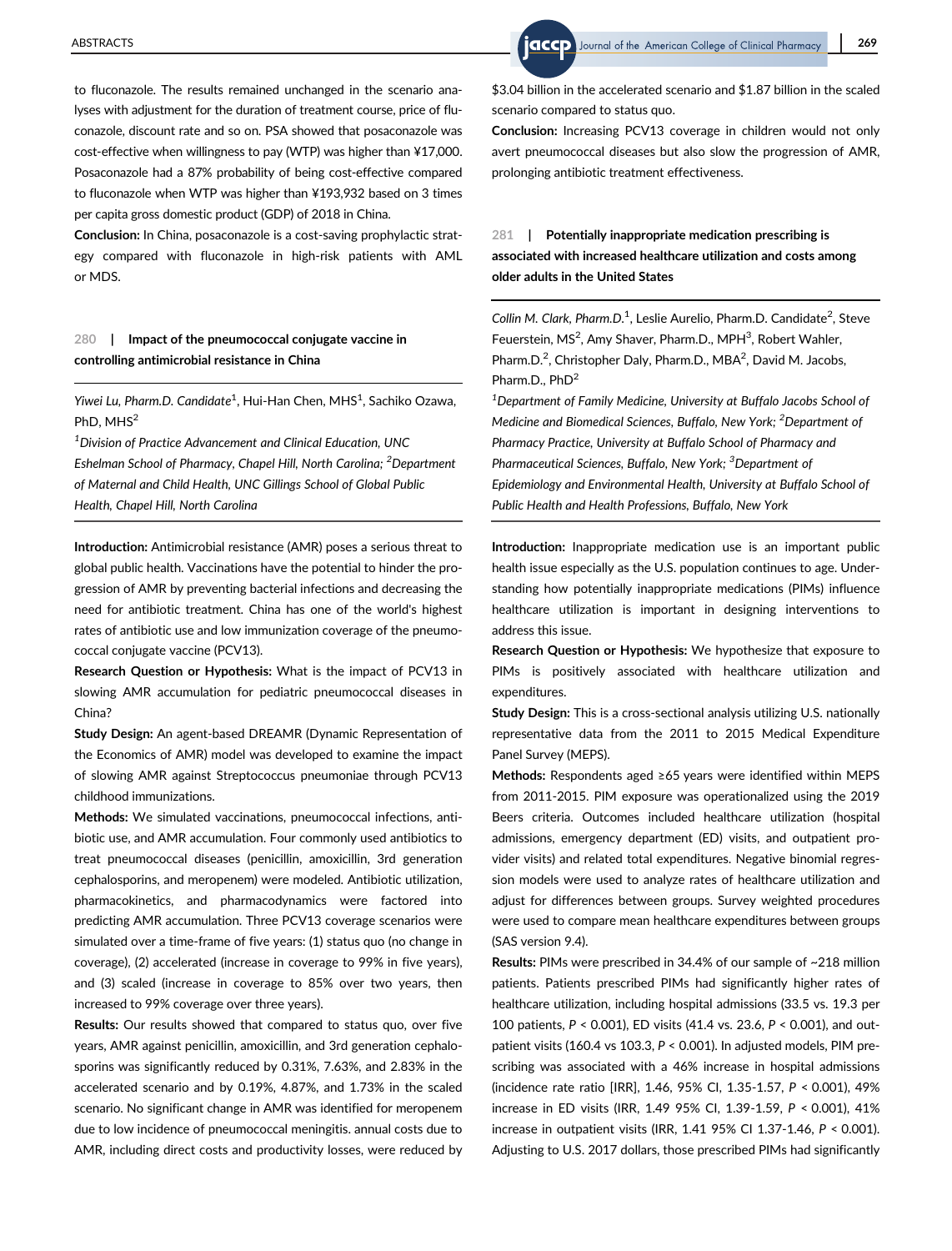to fluconazole. The results remained unchanged in the scenario analyses with adjustment for the duration of treatment course, price of fluconazole, discount rate and so on. PSA showed that posaconazole was cost-effective when willingness to pay (WTP) was higher than ¥17,000. Posaconazole had a 87% probability of being cost-effective compared to fluconazole when WTP was higher than ¥193,932 based on 3 times per capita gross domestic product (GDP) of 2018 in China.

Conclusion: In China, posaconazole is a cost-saving prophylactic strategy compared with fluconazole in high-risk patients with AML or MDS.

## 280 | Impact of the pneumococcal conjugate vaccine in controlling antimicrobial resistance in China

Yiwei Lu, Pharm.D. Candidate<sup>1</sup>, Hui-Han Chen, MHS<sup>1</sup>, Sachiko Ozawa, PhD, MHS<sup>2</sup>

<sup>1</sup> Division of Practice Advancement and Clinical Education, UNC Eshelman School of Pharmacy, Chapel Hill, North Carolina; <sup>2</sup>Department of Maternal and Child Health, UNC Gillings School of Global Public Health, Chapel Hill, North Carolina

Introduction: Antimicrobial resistance (AMR) poses a serious threat to global public health. Vaccinations have the potential to hinder the progression of AMR by preventing bacterial infections and decreasing the need for antibiotic treatment. China has one of the world's highest rates of antibiotic use and low immunization coverage of the pneumococcal conjugate vaccine (PCV13).

Research Question or Hypothesis: What is the impact of PCV13 in slowing AMR accumulation for pediatric pneumococcal diseases in China?

Study Design: An agent-based DREAMR (Dynamic Representation of the Economics of AMR) model was developed to examine the impact of slowing AMR against Streptococcus pneumoniae through PCV13 childhood immunizations.

Methods: We simulated vaccinations, pneumococcal infections, antibiotic use, and AMR accumulation. Four commonly used antibiotics to treat pneumococcal diseases (penicillin, amoxicillin, 3rd generation cephalosporins, and meropenem) were modeled. Antibiotic utilization, pharmacokinetics, and pharmacodynamics were factored into predicting AMR accumulation. Three PCV13 coverage scenarios were simulated over a time-frame of five years: (1) status quo (no change in coverage), (2) accelerated (increase in coverage to 99% in five years), and (3) scaled (increase in coverage to 85% over two years, then increased to 99% coverage over three years).

Results: Our results showed that compared to status quo, over five years, AMR against penicillin, amoxicillin, and 3rd generation cephalosporins was significantly reduced by 0.31%, 7.63%, and 2.83% in the accelerated scenario and by 0.19%, 4.87%, and 1.73% in the scaled scenario. No significant change in AMR was identified for meropenem due to low incidence of pneumococcal meningitis. annual costs due to AMR, including direct costs and productivity losses, were reduced by

\$3.04 billion in the accelerated scenario and \$1.87 billion in the scaled scenario compared to status quo.

Conclusion: Increasing PCV13 coverage in children would not only avert pneumococcal diseases but also slow the progression of AMR, prolonging antibiotic treatment effectiveness.

## 281 | Potentially inappropriate medication prescribing is associated with increased healthcare utilization and costs among older adults in the United States

Collin M. Clark, Pharm.D.<sup>1</sup>, Leslie Aurelio, Pharm.D. Candidate<sup>2</sup>, Steve Feuerstein, MS<sup>2</sup>, Amy Shaver, Pharm.D., MPH<sup>3</sup>, Robert Wahler, Pharm.D.<sup>2</sup>, Christopher Daly, Pharm.D., MBA<sup>2</sup>, David M. Jacobs, Pharm.D., PhD<sup>2</sup>

<sup>1</sup>Department of Family Medicine, University at Buffalo Jacobs School of Medicine and Biomedical Sciences, Buffalo, New York; <sup>2</sup>Department of Pharmacy Practice, University at Buffalo School of Pharmacy and Pharmaceutical Sciences, Buffalo, New York; <sup>3</sup>Department of Epidemiology and Environmental Health, University at Buffalo School of Public Health and Health Professions, Buffalo, New York

Introduction: Inappropriate medication use is an important public health issue especially as the U.S. population continues to age. Understanding how potentially inappropriate medications (PIMs) influence healthcare utilization is important in designing interventions to address this issue.

Research Question or Hypothesis: We hypothesize that exposure to PIMs is positively associated with healthcare utilization and expenditures.

Study Design: This is a cross-sectional analysis utilizing U.S. nationally representative data from the 2011 to 2015 Medical Expenditure Panel Survey (MEPS).

Methods: Respondents aged ≥65 years were identified within MEPS from 2011-2015. PIM exposure was operationalized using the 2019 Beers criteria. Outcomes included healthcare utilization (hospital admissions, emergency department (ED) visits, and outpatient provider visits) and related total expenditures. Negative binomial regression models were used to analyze rates of healthcare utilization and adjust for differences between groups. Survey weighted procedures were used to compare mean healthcare expenditures between groups (SAS version 9.4).

Results: PIMs were prescribed in 34.4% of our sample of ~218 million patients. Patients prescribed PIMs had significantly higher rates of healthcare utilization, including hospital admissions (33.5 vs. 19.3 per 100 patients, P < 0.001), ED visits (41.4 vs. 23.6, P < 0.001), and outpatient visits (160.4 vs 103.3, P < 0.001). In adjusted models, PIM prescribing was associated with a 46% increase in hospital admissions (incidence rate ratio [IRR], 1.46, 95% CI, 1.35-1.57, P < 0.001), 49% increase in ED visits (IRR, 1.49 95% CI, 1.39-1.59, P < 0.001), 41% increase in outpatient visits (IRR, 1.41 95% CI 1.37-1.46, P < 0.001). Adjusting to U.S. 2017 dollars, those prescribed PIMs had significantly